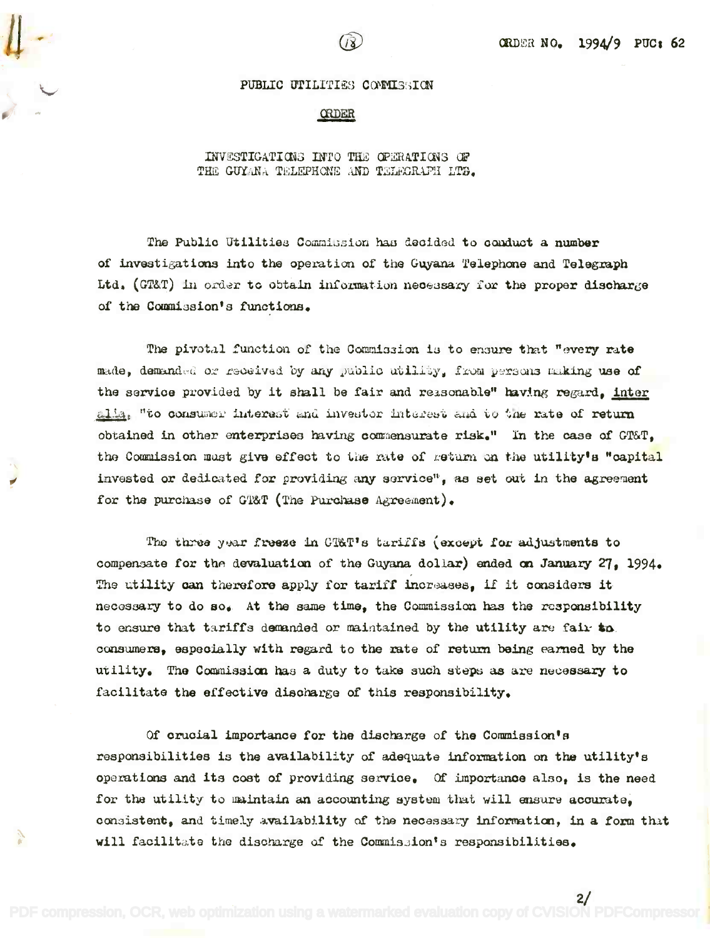$2/$ 

#### PUBLIC UTILITIES COMMISSION

**CRDER** 

### INVESTIGATIONS INTO THE OPERATIONS OF THE GUYANA TELEPHONE AND TELECRAPH LTD.

The Public Utilities Commitsion has decided to conduct a number of investigations into the operation of the Guyana Telephone and Telegraph Ltd. (GT&T) in order to obtain information necessary for the proper discharge of the Commission's functions.

The pivotal function of the Commission is to ensure that "every rate made, demanded or received by any public utility, from persons making use of the service provided by it shall be fair and reasonable" having regard, inter alla, "to consumer interest and investor interest and to the rate of return obtained in other enterprises having commensurate risk." In the case of GT&T, the Commission must give effect to the rate of geturn on the utility's "capital invested or dedicated for providing any service", as set out in the agreement for the purchase of GT&T (The Purchase Agreement).

The three year freeze in CT&T's tariffs (except for adjustments to compensate for the devaluation of the Guyana dollar) ended on January 27, 1994. The utility can therefore apply for tariff increases, if it considers it necessary to do so. At the same time, the Commission has the responsibility to ensure that tariffs demanded or maintained by the utility are fair to. consumers, especially with regard to the rate of return being earned by the utility. The Commission has a duty to take such steps as are necessary to facilitate the effective discharge of this responsibility.

Of crucial importance for the discharge of the Commission's responsibilities is the availability of adequate information on the utility's operations and its cost of providing service. Of importance also, is the need for the utility to maintain an accounting system that will ensure accurate. consistent, and timely availability of the necessary information, in a form that will facilitate the discharge of the Commission's responsibilities.

PDF compression, OCR, web optimization using a watermarked evaluation copy of CVISION PDFCompressor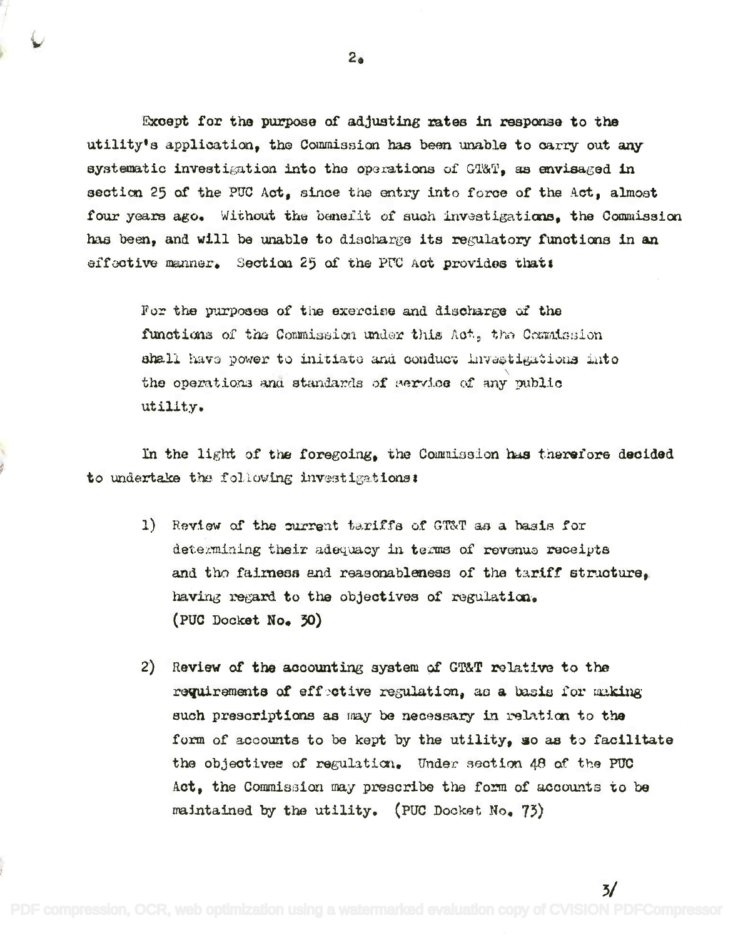Except for the purpose of adjusting rates in response to the Except for the purpose of adjusting rates in response to the utility's application, the Commission has been unable to carry out any systematic investigation into the operations of G'l'&T<sub></sub>, as envisaged in section 25 of the PUC Act, since the entry into force of the Act, almost four years ago. Without the benefit of such investigations, the Commission has been, and will be unable to discharge its regulatory functions in an effective manner. Section 25 of the PUC Act provides that:

For the purposes of the exercise and discharge of the functions of the Commission under this Aot, the Commission ahall havs power to initiate and conduct Invastigations into the operations and standards of eervioe of any public utility, utility. the operations and standards of service of any public

In the light of the foregoing, the Commission has therefore decided to undertake the following investigations:

- 1) Review of the current tariffs of GT&T as a basis for determining their adequacy in terms of revenue receipts and tho fairness and reasonableness of the tariff structure, having regard to the objectives of regulation. (PUC Docket No. 30)
- 2) Review of the accounting system of GT&T relative to the requirements of effective regulation, as a basis for making such prescriptions as may be necessary in relation to the form of accounts to be kept by the utility, so as to facilitate the objectives of regulation. Under section 48 of the PUC Act, the Commission may prescribe the form of accounts to be maintained by the utility. (PUC Docket No. 73)

3/

2.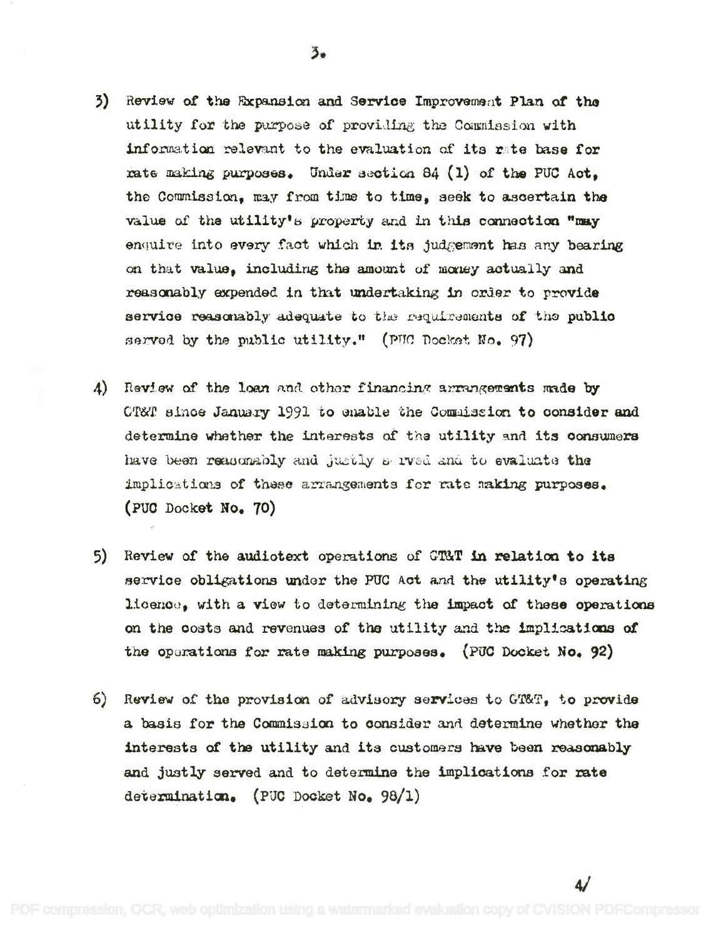- 3) Review of the Expansion and Service Improvement Plan of the utility for the purpose of providing the Commission with information relevant to the evaluation of its rate base for rate making purposes. Under section 84 (1) of the PUC Act. the Commission, may from time to time, seek to ascertain the value of the utility's property and in this connection "may enquive into every fact which in its judgement has any bearing on that value, including the amount of money actually and reasonably expended in that undertaking in order to provide service reasonably adequate to the requirements of the public served by the public utility." (PUC Docket No. 97)
- A) Review of the loan and other financing arrangements made by CT&T since January 1991 to enable the Commission to consider and determine whether the interests of the utility and its consumers have been reasonably and justly a road and to evaluate the implications of these arrangements for rate making purposes. (PUC Docket No. 70)
- 5) Review of the audiotext operations of GTAT in relation to its service obligations under the PUC Act and the utility's operating licence, with a view to determining the impact of these operations on the costs and revenues of the utility and the implications of the operations for rate making purposes. (PUC Docket No. 92)
- 6) Review of the provision of advisory services to GT&T, to provide a basis for the Commission to consider and determine whether the interests of the utility and its customers have been reasonably and justly served and to determine the implications for rate determination. (PUC Docket No. 98/1)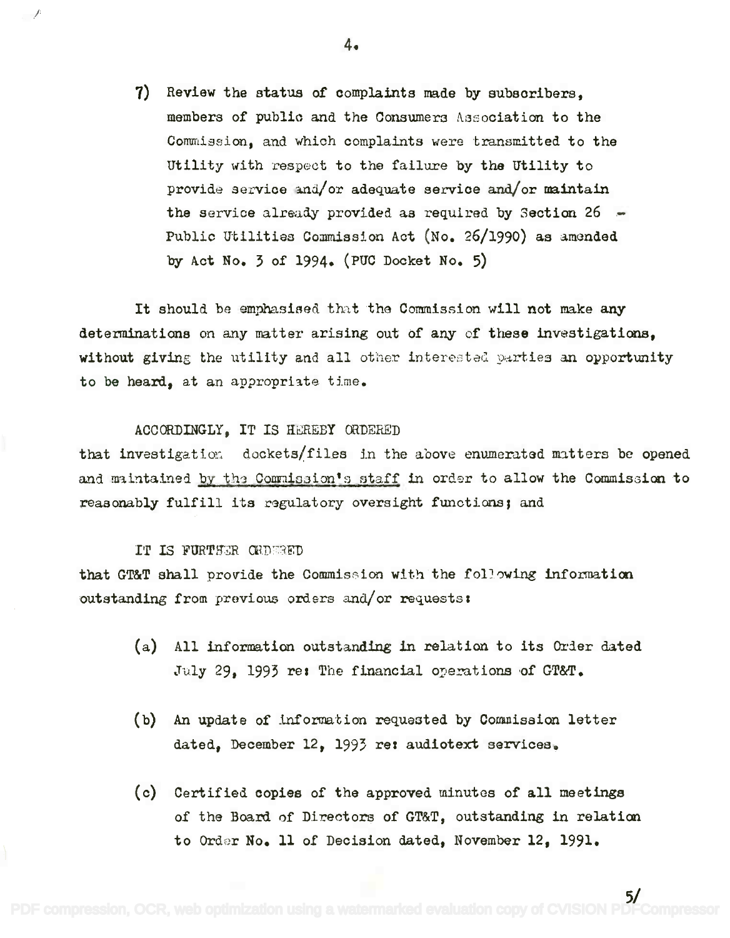7) Review the status of complaints made by subscribers, 7) Review the status of oomplaints made by subsoribers, members of public and the Consumers Association to the Commission, and which complaints were transmitted to the Utility with respect to the failure by the Utility to Utility with respect to the failure by the Utility to provide service and/or adequate service and/or maintain the service already provided as required by Section 26 -Public Utilities Commission Act (No. 26/1990) as amended by Act No. 3 of 1994. (PUC Docket No. 5)

It should be emphasised that the Commission will not make any determinations on any matter arising out of any of these investigations, determinations on any matter arising out of any of these investigations, without giving the utility and all other interested parties an opportunity to be heard, at an appropriate time.

# ACCORDINGLY, IT IS HEREBY ORDERED

that investigation dockets/files in the above enumerated matters be opened and maintained <u>by the Commission's staff</u> in order to allow the Commission to reasonably fulfill its regulatory oversight functions; and

# IT IS FURTHER GRDERED

that GT&T shall provide the Commission with the following information outstanding from previous orders and/or requests:

- (a) All information outstanding in relation to its Order dated July 29, 1993 re: The financial operations of GT&T.
- (b) An update of information requested by Commission letter dated, December 12, 1993 re*I* audiotext services.
- (c) Certified copies of the approved minutes of all meetings of the Board of Directors of GT&T, outstanding in relation to Order No. 11 of Decision dated, November 12, 1991.